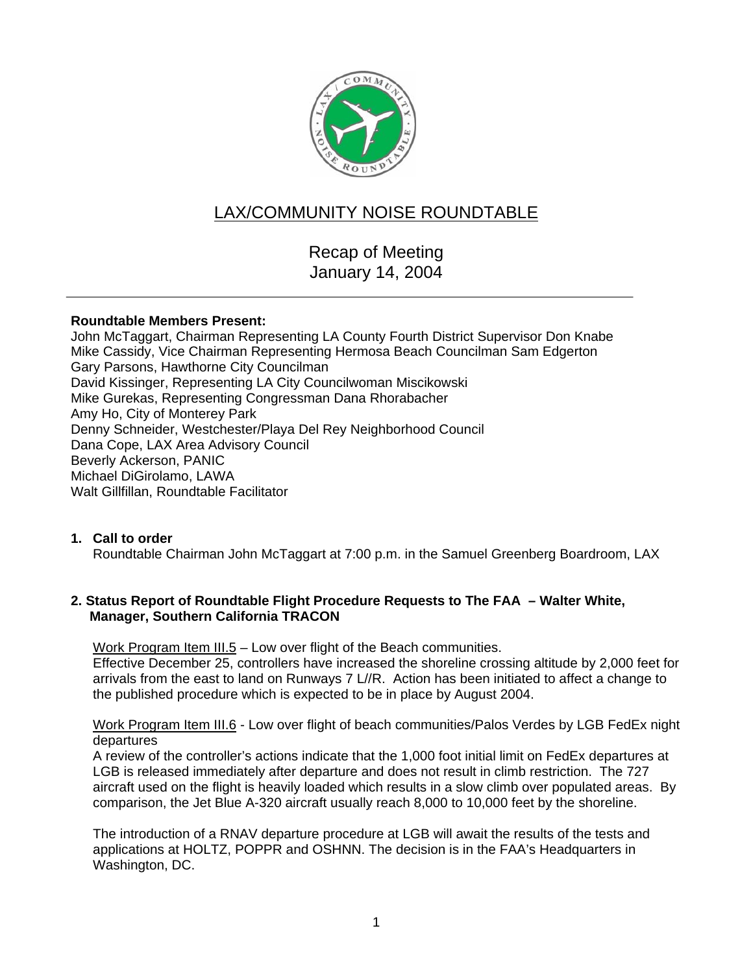

# LAX/COMMUNITY NOISE ROUNDTABLE

Recap of Meeting January 14, 2004

## **Roundtable Members Present:**

John McTaggart, Chairman Representing LA County Fourth District Supervisor Don Knabe Mike Cassidy, Vice Chairman Representing Hermosa Beach Councilman Sam Edgerton Gary Parsons, Hawthorne City Councilman David Kissinger, Representing LA City Councilwoman Miscikowski Mike Gurekas, Representing Congressman Dana Rhorabacher Amy Ho, City of Monterey Park Denny Schneider, Westchester/Playa Del Rey Neighborhood Council Dana Cope, LAX Area Advisory Council Beverly Ackerson, PANIC Michael DiGirolamo, LAWA Walt Gillfillan, Roundtable Facilitator

# **1. Call to order**

Roundtable Chairman John McTaggart at 7:00 p.m. in the Samuel Greenberg Boardroom, LAX

# **2. Status Report of Roundtable Flight Procedure Requests to The FAA – Walter White, Manager, Southern California TRACON**

Work Program Item III.5 - Low over flight of the Beach communities.

Effective December 25, controllers have increased the shoreline crossing altitude by 2,000 feet for arrivals from the east to land on Runways 7 L//R. Action has been initiated to affect a change to the published procedure which is expected to be in place by August 2004.

Work Program Item III.6 - Low over flight of beach communities/Palos Verdes by LGB FedEx night departures

A review of the controller's actions indicate that the 1,000 foot initial limit on FedEx departures at LGB is released immediately after departure and does not result in climb restriction. The 727 aircraft used on the flight is heavily loaded which results in a slow climb over populated areas. By comparison, the Jet Blue A-320 aircraft usually reach 8,000 to 10,000 feet by the shoreline.

The introduction of a RNAV departure procedure at LGB will await the results of the tests and applications at HOLTZ, POPPR and OSHNN. The decision is in the FAA's Headquarters in Washington, DC.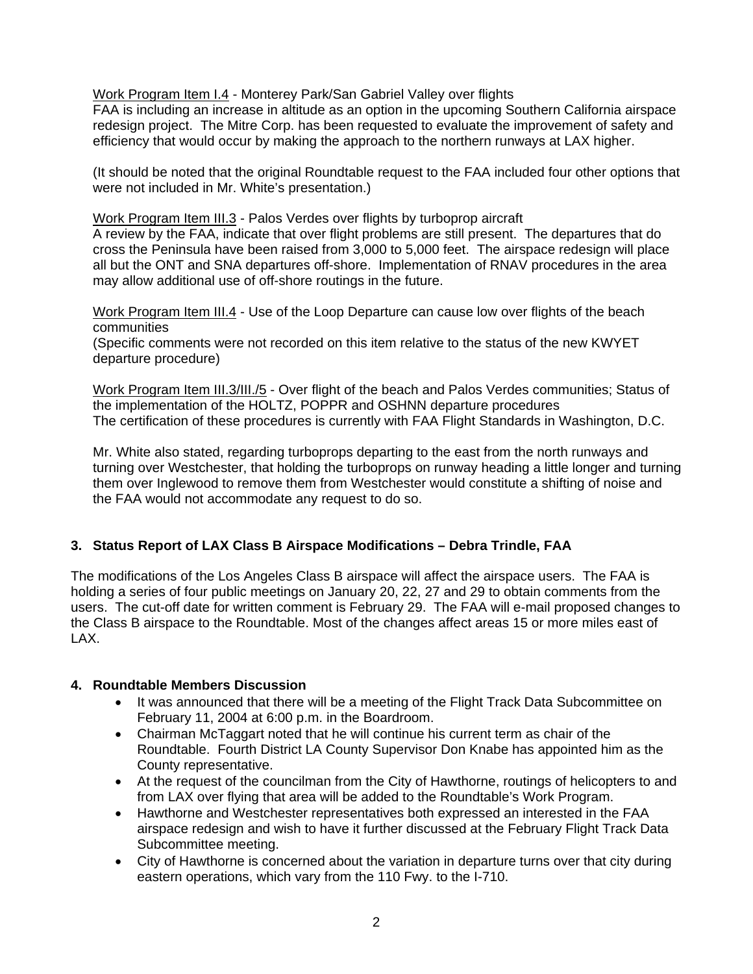Work Program Item I.4 - Monterey Park/San Gabriel Valley over flights

FAA is including an increase in altitude as an option in the upcoming Southern California airspace redesign project. The Mitre Corp. has been requested to evaluate the improvement of safety and efficiency that would occur by making the approach to the northern runways at LAX higher.

(It should be noted that the original Roundtable request to the FAA included four other options that were not included in Mr. White's presentation.)

Work Program Item III.3 - Palos Verdes over flights by turboprop aircraft

A review by the FAA, indicate that over flight problems are still present. The departures that do cross the Peninsula have been raised from 3,000 to 5,000 feet. The airspace redesign will place all but the ONT and SNA departures off-shore. Implementation of RNAV procedures in the area may allow additional use of off-shore routings in the future.

Work Program Item III.4 - Use of the Loop Departure can cause low over flights of the beach communities

(Specific comments were not recorded on this item relative to the status of the new KWYET departure procedure)

Work Program Item III.3/III./5 - Over flight of the beach and Palos Verdes communities; Status of the implementation of the HOLTZ, POPPR and OSHNN departure procedures The certification of these procedures is currently with FAA Flight Standards in Washington, D.C.

Mr. White also stated, regarding turboprops departing to the east from the north runways and turning over Westchester, that holding the turboprops on runway heading a little longer and turning them over Inglewood to remove them from Westchester would constitute a shifting of noise and the FAA would not accommodate any request to do so.

# **3. Status Report of LAX Class B Airspace Modifications – Debra Trindle, FAA**

The modifications of the Los Angeles Class B airspace will affect the airspace users. The FAA is holding a series of four public meetings on January 20, 22, 27 and 29 to obtain comments from the users. The cut-off date for written comment is February 29. The FAA will e-mail proposed changes to the Class B airspace to the Roundtable. Most of the changes affect areas 15 or more miles east of LAX.

# **4. Roundtable Members Discussion**

- It was announced that there will be a meeting of the Flight Track Data Subcommittee on February 11, 2004 at 6:00 p.m. in the Boardroom.
- Chairman McTaggart noted that he will continue his current term as chair of the Roundtable. Fourth District LA County Supervisor Don Knabe has appointed him as the County representative.
- At the request of the councilman from the City of Hawthorne, routings of helicopters to and from LAX over flying that area will be added to the Roundtable's Work Program.
- Hawthorne and Westchester representatives both expressed an interested in the FAA airspace redesign and wish to have it further discussed at the February Flight Track Data Subcommittee meeting.
- City of Hawthorne is concerned about the variation in departure turns over that city during eastern operations, which vary from the 110 Fwy. to the I-710.